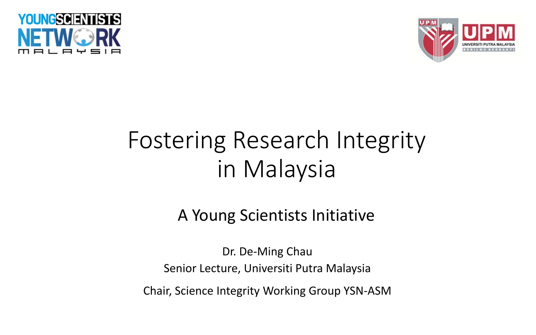



# Fostering Research Integrity in Malaysia

A Young Scientists Initiative

Dr. De‐Ming Chau Senior Lecture, Universiti Putra Malaysia Chair, Science Integrity Working Group YSN‐ASM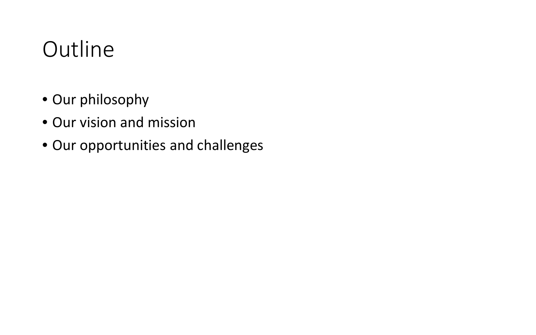## Outline

- Our philosophy
- Our vision and mission
- Our opportunities and challenges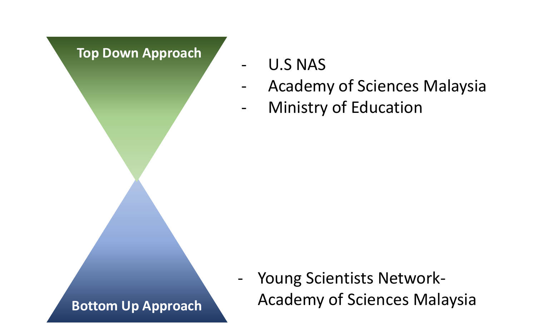### **Top Down Approach**

### U.S NAS

‐

- ‐Academy of Sciences Malaysia
- ‐Ministry of Education



‐- Young Scientists Network-Academy of Sciences Malaysia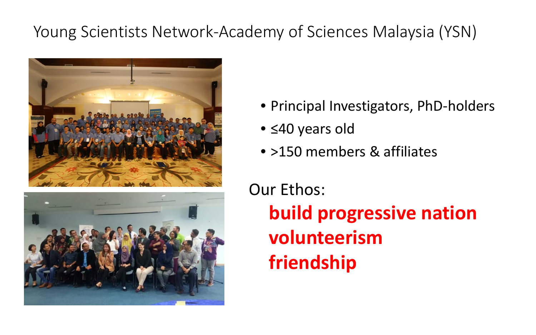### Young Scientists Network‐Academy of Sciences Malaysia (YSN)





- Principal Investigators, PhD‐holders
- ≤40 years old
- >150 members & affiliates

## Our Ethos: **build progressive nation volunteerismfriendship**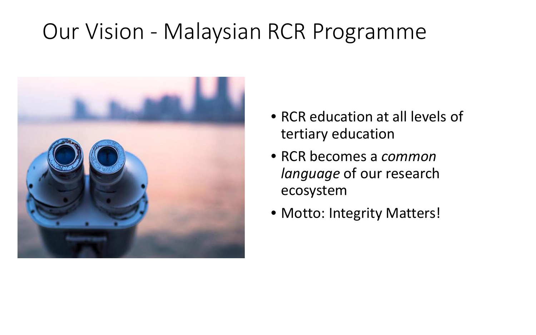## Our Vision ‐ Malaysian RCR Programme



- RCR education at all levels of tertiary education
- RCR becomes <sup>a</sup> *common language* of our research ecosystem
- Motto: Integrity Matters!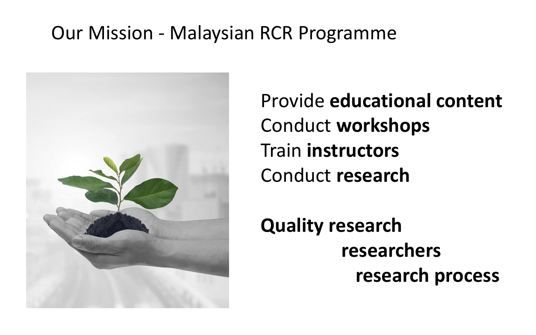## Our Mission ‐ Malaysian RCR Programme



Provide **educational content** Conduct **workshops** Train **instructors** Conduct **research**

**Quality research researchersresearch process**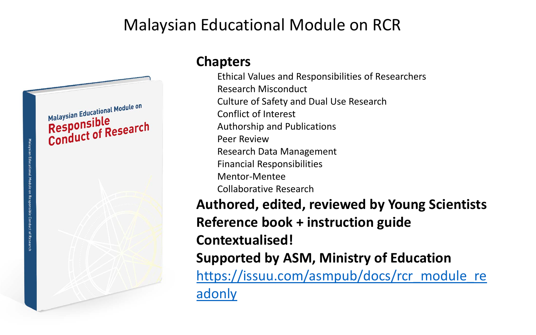### Malaysian Educational Module on RCR



### **Chapters**

Ethical Values and Responsibilities of Researchers Research Misconduct Culture of Safety and Dual Use Research Conflict of Interest Authorship and Publications Peer ReviewResearch Data Management Financial Responsibilities Mentor‐MenteeCollaborative Research**Authored, edited, reviewed by Young Scientists Reference book <sup>+</sup> instruction guide Contextualised!Supported by ASM, Ministry of Education** https://issuu.com/asmpub/docs/rcr\_module\_re

adonly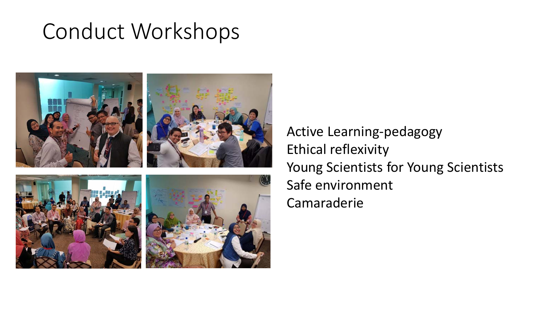## Conduct Workshops



Active Learning‐pedagogy Ethical reflexivity Young Scientists for Young Scientists Safe environment Camaraderie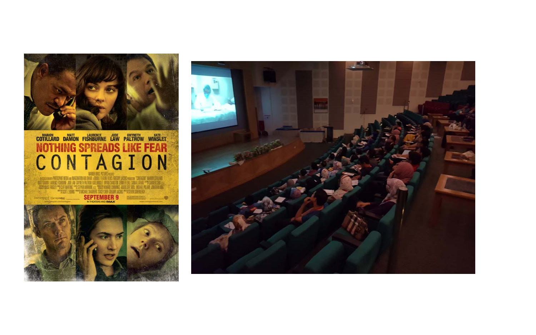

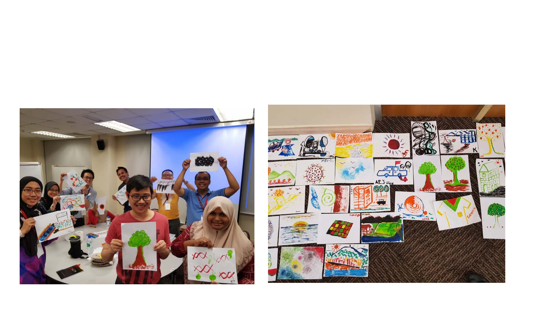

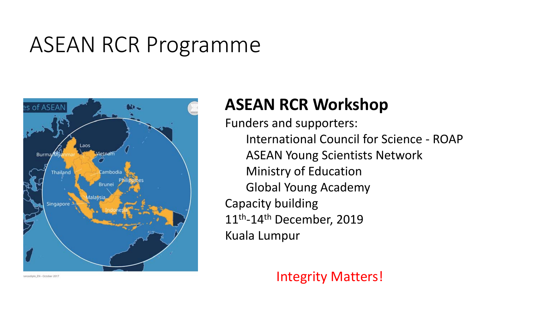## ASEAN RCR Programme



### **ASEAN RCR Workshop**

Funders and supporters: International Council for Science ‐ ROAPASEAN Young Scientists Network Ministry of Education Global Young Academy Capacity building 11<sup>th</sup>-14<sup>th</sup> December, 2019 Kuala Lumpur

Integrity Matters!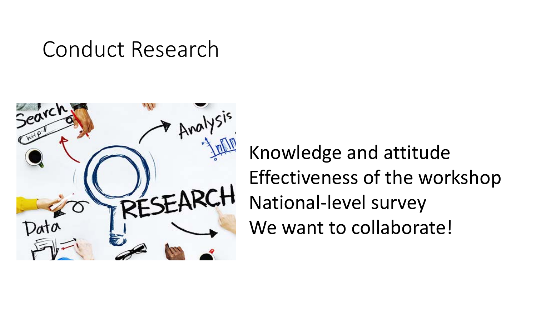## Conduct Research



Knowledge and attitude Effectiveness of the workshop National‐level survey We want to collaborate!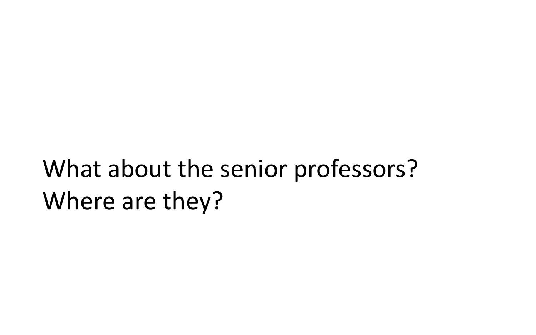# What about the senior professors? Where are they?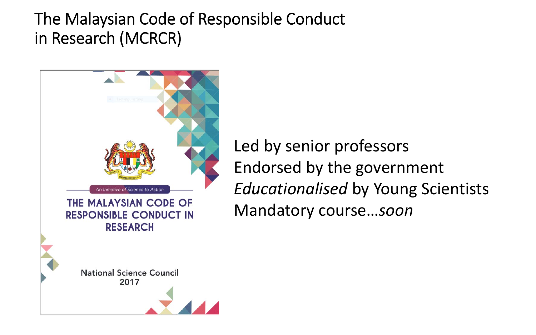### The Malaysian Code of Responsible Conduct in Research (MCRCR)



Led by senior professors Endorsed by the government *Educationalised* by Young Scientists Mandatory course…*soon*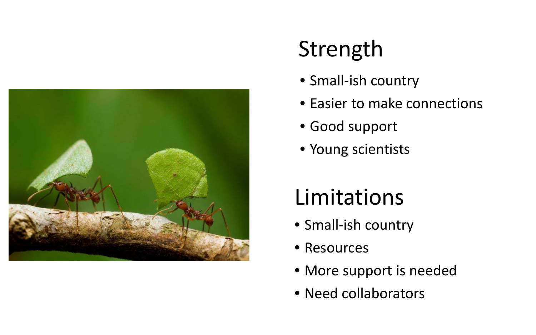

# Strength

- Small-ish country
- Easier to make connections
- Good support
- Young scientists

# Limitations

- Small-ish country
- Resources
- More support is needed
- Need collaborators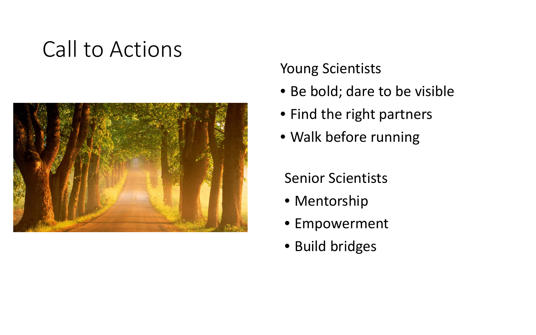## Call to Actions



### Young Scientists

- Be bold; dare to be visible
- Find the right partners
- Walk before running

### Senior Scientists

- Mentorship
- Empowerment
- Build bridges